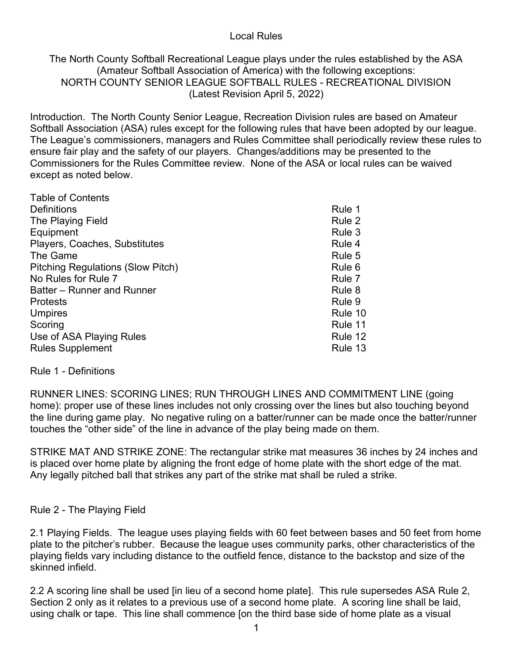## Local Rules

The North County Softball Recreational League plays under the rules established by the ASA (Amateur Softball Association of America) with the following exceptions: NORTH COUNTY SENIOR LEAGUE SOFTBALL RULES - RECREATIONAL DIVISION (Latest Revision April 5, 2022)

Introduction. The North County Senior League, Recreation Division rules are based on Amateur Softball Association (ASA) rules except for the following rules that have been adopted by our league. The League's commissioners, managers and Rules Committee shall periodically review these rules to ensure fair play and the safety of our players. Changes/additions may be presented to the Commissioners for the Rules Committee review. None of the ASA or local rules can be waived except as noted below.

| <b>Table of Contents</b>                 |         |
|------------------------------------------|---------|
| <b>Definitions</b>                       | Rule 1  |
| The Playing Field                        | Rule 2  |
| Equipment                                | Rule 3  |
| Players, Coaches, Substitutes            | Rule 4  |
| The Game                                 | Rule 5  |
| <b>Pitching Regulations (Slow Pitch)</b> | Rule 6  |
| No Rules for Rule 7                      | Rule 7  |
| Batter – Runner and Runner               | Rule 8  |
| <b>Protests</b>                          | Rule 9  |
| <b>Umpires</b>                           | Rule 10 |
| Scoring                                  | Rule 11 |
| Use of ASA Playing Rules                 | Rule 12 |
| <b>Rules Supplement</b>                  | Rule 13 |

### Rule 1 - Definitions

RUNNER LINES: SCORING LINES; RUN THROUGH LINES AND COMMITMENT LINE (going home): proper use of these lines includes not only crossing over the lines but also touching beyond the line during game play. No negative ruling on a batter/runner can be made once the batter/runner touches the "other side" of the line in advance of the play being made on them.

STRIKE MAT AND STRIKE ZONE: The rectangular strike mat measures 36 inches by 24 inches and is placed over home plate by aligning the front edge of home plate with the short edge of the mat. Any legally pitched ball that strikes any part of the strike mat shall be ruled a strike.

### Rule 2 - The Playing Field

2.1 Playing Fields. The league uses playing fields with 60 feet between bases and 50 feet from home plate to the pitcher's rubber. Because the league uses community parks, other characteristics of the playing fields vary including distance to the outfield fence, distance to the backstop and size of the skinned infield.

2.2 A scoring line shall be used [in lieu of a second home plate]. This rule supersedes ASA Rule 2, Section 2 only as it relates to a previous use of a second home plate. A scoring line shall be laid, using chalk or tape. This line shall commence [on the third base side of home plate as a visual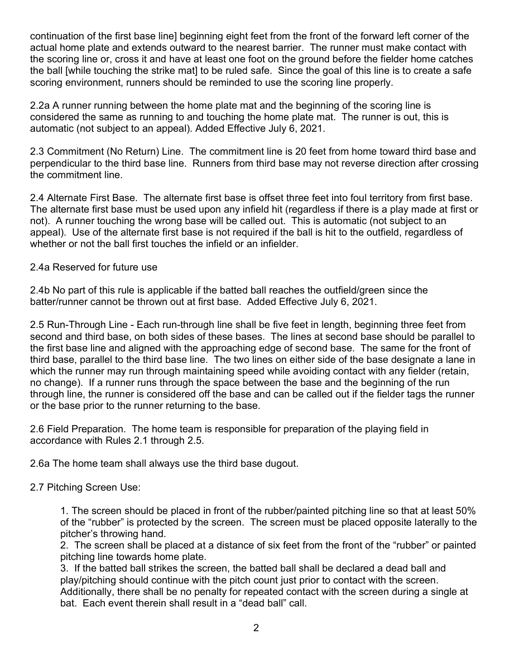continuation of the first base line] beginning eight feet from the front of the forward left corner of the actual home plate and extends outward to the nearest barrier. The runner must make contact with the scoring line or, cross it and have at least one foot on the ground before the fielder home catches the ball [while touching the strike mat] to be ruled safe. Since the goal of this line is to create a safe scoring environment, runners should be reminded to use the scoring line properly.

2.2a A runner running between the home plate mat and the beginning of the scoring line is considered the same as running to and touching the home plate mat. The runner is out, this is automatic (not subject to an appeal). Added Effective July 6, 2021.

2.3 Commitment (No Return) Line. The commitment line is 20 feet from home toward third base and perpendicular to the third base line. Runners from third base may not reverse direction after crossing the commitment line.

2.4 Alternate First Base. The alternate first base is offset three feet into foul territory from first base. The alternate first base must be used upon any infield hit (regardless if there is a play made at first or not). A runner touching the wrong base will be called out. This is automatic (not subject to an appeal). Use of the alternate first base is not required if the ball is hit to the outfield, regardless of whether or not the ball first touches the infield or an infielder.

### 2.4a Reserved for future use

2.4b No part of this rule is applicable if the batted ball reaches the outfield/green since the batter/runner cannot be thrown out at first base. Added Effective July 6, 2021.

2.5 Run-Through Line - Each run-through line shall be five feet in length, beginning three feet from second and third base, on both sides of these bases. The lines at second base should be parallel to the first base line and aligned with the approaching edge of second base. The same for the front of third base, parallel to the third base line. The two lines on either side of the base designate a lane in which the runner may run through maintaining speed while avoiding contact with any fielder (retain, no change). If a runner runs through the space between the base and the beginning of the run through line, the runner is considered off the base and can be called out if the fielder tags the runner or the base prior to the runner returning to the base.

2.6 Field Preparation. The home team is responsible for preparation of the playing field in accordance with Rules 2.1 through 2.5.

2.6a The home team shall always use the third base dugout.

# 2.7 Pitching Screen Use:

1. The screen should be placed in front of the rubber/painted pitching line so that at least 50% of the "rubber" is protected by the screen. The screen must be placed opposite laterally to the pitcher's throwing hand.

2. The screen shall be placed at a distance of six feet from the front of the "rubber" or painted pitching line towards home plate.

3. If the batted ball strikes the screen, the batted ball shall be declared a dead ball and play/pitching should continue with the pitch count just prior to contact with the screen. Additionally, there shall be no penalty for repeated contact with the screen during a single at bat. Each event therein shall result in a "dead ball" call.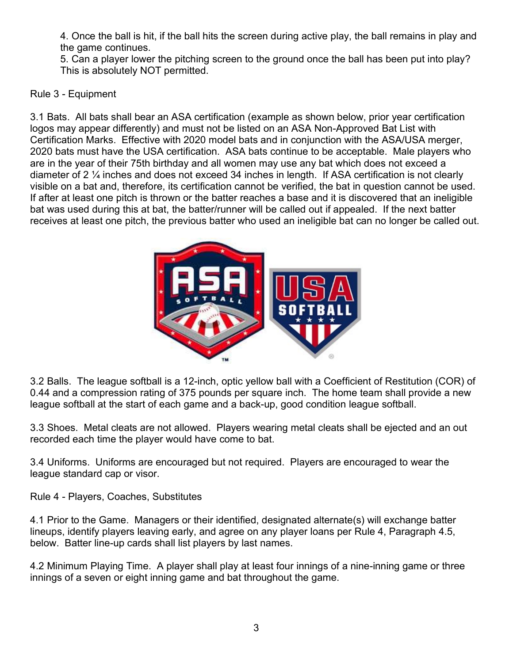4. Once the ball is hit, if the ball hits the screen during active play, the ball remains in play and the game continues.

5. Can a player lower the pitching screen to the ground once the ball has been put into play? This is absolutely NOT permitted.

# Rule 3 - Equipment

3.1 Bats. All bats shall bear an ASA certification (example as shown below, prior year certification logos may appear differently) and must not be listed on an ASA Non-Approved Bat List with Certification Marks. Effective with 2020 model bats and in conjunction with the ASA/USA merger, 2020 bats must have the USA certification. ASA bats continue to be acceptable. Male players who are in the year of their 75th birthday and all women may use any bat which does not exceed a diameter of 2 ¼ inches and does not exceed 34 inches in length. If ASA certification is not clearly visible on a bat and, therefore, its certification cannot be verified, the bat in question cannot be used. If after at least one pitch is thrown or the batter reaches a base and it is discovered that an ineligible bat was used during this at bat, the batter/runner will be called out if appealed. If the next batter receives at least one pitch, the previous batter who used an ineligible bat can no longer be called out.



3.2 Balls. The league softball is a 12-inch, optic yellow ball with a Coefficient of Restitution (COR) of 0.44 and a compression rating of 375 pounds per square inch. The home team shall provide a new league softball at the start of each game and a back-up, good condition league softball.

3.3 Shoes. Metal cleats are not allowed. Players wearing metal cleats shall be ejected and an out recorded each time the player would have come to bat.

3.4 Uniforms. Uniforms are encouraged but not required. Players are encouraged to wear the league standard cap or visor.

Rule 4 - Players, Coaches, Substitutes

4.1 Prior to the Game. Managers or their identified, designated alternate(s) will exchange batter lineups, identify players leaving early, and agree on any player loans per Rule 4, Paragraph 4.5, below. Batter line-up cards shall list players by last names.

4.2 Minimum Playing Time. A player shall play at least four innings of a nine-inning game or three innings of a seven or eight inning game and bat throughout the game.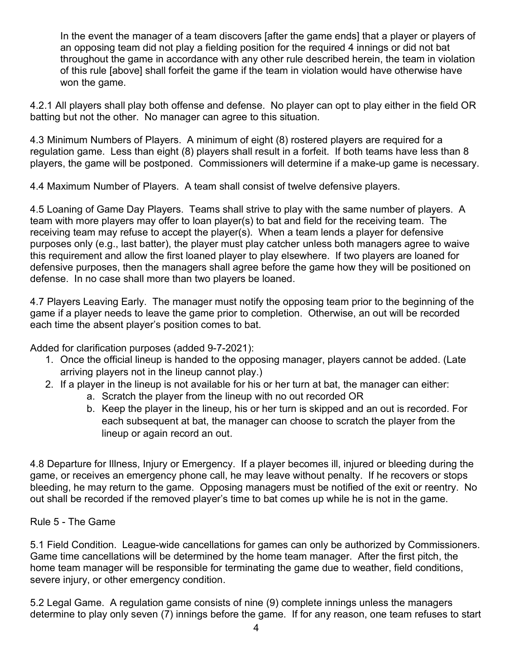In the event the manager of a team discovers [after the game ends] that a player or players of an opposing team did not play a fielding position for the required 4 innings or did not bat throughout the game in accordance with any other rule described herein, the team in violation of this rule [above] shall forfeit the game if the team in violation would have otherwise have won the game.

4.2.1 All players shall play both offense and defense. No player can opt to play either in the field OR batting but not the other. No manager can agree to this situation.

4.3 Minimum Numbers of Players. A minimum of eight (8) rostered players are required for a regulation game. Less than eight (8) players shall result in a forfeit. If both teams have less than 8 players, the game will be postponed. Commissioners will determine if a make-up game is necessary.

4.4 Maximum Number of Players. A team shall consist of twelve defensive players.

4.5 Loaning of Game Day Players. Teams shall strive to play with the same number of players. A team with more players may offer to loan player(s) to bat and field for the receiving team. The receiving team may refuse to accept the player(s). When a team lends a player for defensive purposes only (e.g., last batter), the player must play catcher unless both managers agree to waive this requirement and allow the first loaned player to play elsewhere. If two players are loaned for defensive purposes, then the managers shall agree before the game how they will be positioned on defense. In no case shall more than two players be loaned.

4.7 Players Leaving Early. The manager must notify the opposing team prior to the beginning of the game if a player needs to leave the game prior to completion. Otherwise, an out will be recorded each time the absent player's position comes to bat.

Added for clarification purposes (added 9-7-2021):

- 1. Once the official lineup is handed to the opposing manager, players cannot be added. (Late arriving players not in the lineup cannot play.)
- 2. If a player in the lineup is not available for his or her turn at bat, the manager can either:
	- a. Scratch the player from the lineup with no out recorded OR
	- b. Keep the player in the lineup, his or her turn is skipped and an out is recorded. For each subsequent at bat, the manager can choose to scratch the player from the lineup or again record an out.

4.8 Departure for Illness, Injury or Emergency. If a player becomes ill, injured or bleeding during the game, or receives an emergency phone call, he may leave without penalty. If he recovers or stops bleeding, he may return to the game. Opposing managers must be notified of the exit or reentry. No out shall be recorded if the removed player's time to bat comes up while he is not in the game.

# Rule 5 - The Game

5.1 Field Condition. League-wide cancellations for games can only be authorized by Commissioners. Game time cancellations will be determined by the home team manager. After the first pitch, the home team manager will be responsible for terminating the game due to weather, field conditions, severe injury, or other emergency condition.

5.2 Legal Game. A regulation game consists of nine (9) complete innings unless the managers determine to play only seven (7) innings before the game. If for any reason, one team refuses to start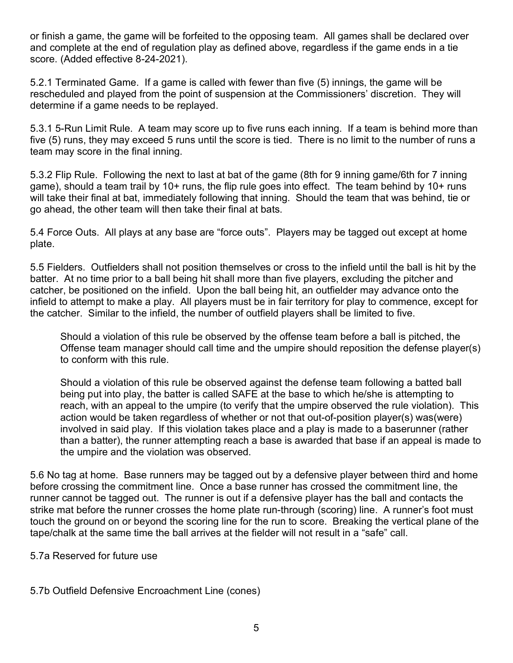or finish a game, the game will be forfeited to the opposing team. All games shall be declared over and complete at the end of regulation play as defined above, regardless if the game ends in a tie score. (Added effective 8-24-2021).

5.2.1 Terminated Game. If a game is called with fewer than five (5) innings, the game will be rescheduled and played from the point of suspension at the Commissioners' discretion. They will determine if a game needs to be replayed.

5.3.1 5-Run Limit Rule. A team may score up to five runs each inning. If a team is behind more than five (5) runs, they may exceed 5 runs until the score is tied. There is no limit to the number of runs a team may score in the final inning.

5.3.2 Flip Rule. Following the next to last at bat of the game (8th for 9 inning game/6th for 7 inning game), should a team trail by 10+ runs, the flip rule goes into effect. The team behind by 10+ runs will take their final at bat, immediately following that inning. Should the team that was behind, tie or go ahead, the other team will then take their final at bats.

5.4 Force Outs. All plays at any base are "force outs". Players may be tagged out except at home plate.

5.5 Fielders. Outfielders shall not position themselves or cross to the infield until the ball is hit by the batter. At no time prior to a ball being hit shall more than five players, excluding the pitcher and catcher, be positioned on the infield. Upon the ball being hit, an outfielder may advance onto the infield to attempt to make a play. All players must be in fair territory for play to commence, except for the catcher. Similar to the infield, the number of outfield players shall be limited to five.

Should a violation of this rule be observed by the offense team before a ball is pitched, the Offense team manager should call time and the umpire should reposition the defense player(s) to conform with this rule.

Should a violation of this rule be observed against the defense team following a batted ball being put into play, the batter is called SAFE at the base to which he/she is attempting to reach, with an appeal to the umpire (to verify that the umpire observed the rule violation). This action would be taken regardless of whether or not that out-of-position player(s) was(were) involved in said play. If this violation takes place and a play is made to a baserunner (rather than a batter), the runner attempting reach a base is awarded that base if an appeal is made to the umpire and the violation was observed.

5.6 No tag at home. Base runners may be tagged out by a defensive player between third and home before crossing the commitment line. Once a base runner has crossed the commitment line, the runner cannot be tagged out. The runner is out if a defensive player has the ball and contacts the strike mat before the runner crosses the home plate run-through (scoring) line. A runner's foot must touch the ground on or beyond the scoring line for the run to score. Breaking the vertical plane of the tape/chalk at the same time the ball arrives at the fielder will not result in a "safe" call.

5.7a Reserved for future use

5.7b Outfield Defensive Encroachment Line (cones)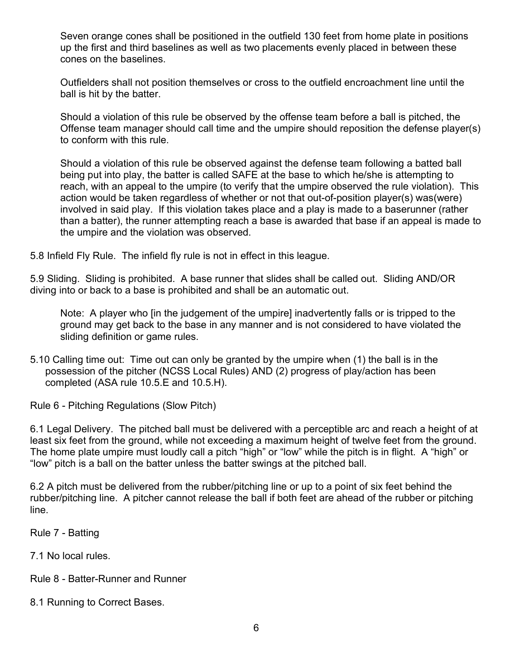Seven orange cones shall be positioned in the outfield 130 feet from home plate in positions up the first and third baselines as well as two placements evenly placed in between these cones on the baselines.

 Outfielders shall not position themselves or cross to the outfield encroachment line until the ball is hit by the batter.

Should a violation of this rule be observed by the offense team before a ball is pitched, the Offense team manager should call time and the umpire should reposition the defense player(s) to conform with this rule.

Should a violation of this rule be observed against the defense team following a batted ball being put into play, the batter is called SAFE at the base to which he/she is attempting to reach, with an appeal to the umpire (to verify that the umpire observed the rule violation). This action would be taken regardless of whether or not that out-of-position player(s) was(were) involved in said play. If this violation takes place and a play is made to a baserunner (rather than a batter), the runner attempting reach a base is awarded that base if an appeal is made to the umpire and the violation was observed.

5.8 Infield Fly Rule. The infield fly rule is not in effect in this league.

5.9 Sliding. Sliding is prohibited. A base runner that slides shall be called out. Sliding AND/OR diving into or back to a base is prohibited and shall be an automatic out.

 Note: A player who [in the judgement of the umpire] inadvertently falls or is tripped to the ground may get back to the base in any manner and is not considered to have violated the sliding definition or game rules.

5.10 Calling time out: Time out can only be granted by the umpire when (1) the ball is in the possession of the pitcher (NCSS Local Rules) AND (2) progress of play/action has been completed (ASA rule 10.5.E and 10.5.H).

Rule 6 - Pitching Regulations (Slow Pitch)

6.1 Legal Delivery. The pitched ball must be delivered with a perceptible arc and reach a height of at least six feet from the ground, while not exceeding a maximum height of twelve feet from the ground. The home plate umpire must loudly call a pitch "high" or "low" while the pitch is in flight. A "high" or "low" pitch is a ball on the batter unless the batter swings at the pitched ball.

6.2 A pitch must be delivered from the rubber/pitching line or up to a point of six feet behind the rubber/pitching line. A pitcher cannot release the ball if both feet are ahead of the rubber or pitching line.

Rule 7 - Batting

7.1 No local rules.

Rule 8 - Batter-Runner and Runner

8.1 Running to Correct Bases.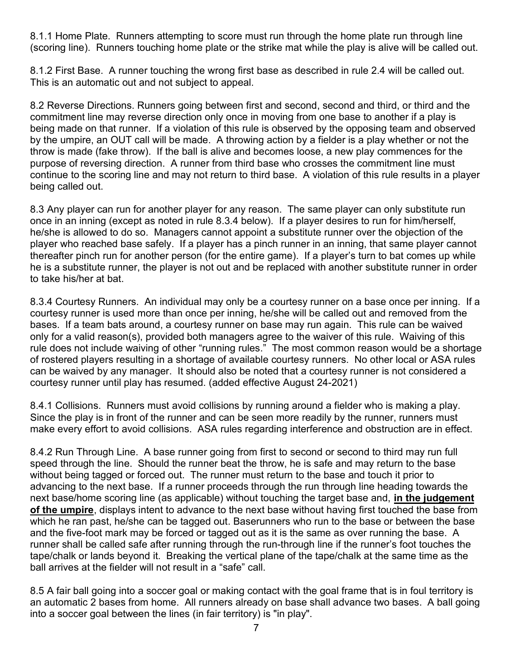8.1.1 Home Plate. Runners attempting to score must run through the home plate run through line (scoring line). Runners touching home plate or the strike mat while the play is alive will be called out.

8.1.2 First Base. A runner touching the wrong first base as described in rule 2.4 will be called out. This is an automatic out and not subject to appeal.

8.2 Reverse Directions. Runners going between first and second, second and third, or third and the commitment line may reverse direction only once in moving from one base to another if a play is being made on that runner. If a violation of this rule is observed by the opposing team and observed by the umpire, an OUT call will be made. A throwing action by a fielder is a play whether or not the throw is made (fake throw). If the ball is alive and becomes loose, a new play commences for the purpose of reversing direction. A runner from third base who crosses the commitment line must continue to the scoring line and may not return to third base. A violation of this rule results in a player being called out.

8.3 Any player can run for another player for any reason. The same player can only substitute run once in an inning (except as noted in rule 8.3.4 below). If a player desires to run for him/herself, he/she is allowed to do so. Managers cannot appoint a substitute runner over the objection of the player who reached base safely. If a player has a pinch runner in an inning, that same player cannot thereafter pinch run for another person (for the entire game). If a player's turn to bat comes up while he is a substitute runner, the player is not out and be replaced with another substitute runner in order to take his/her at bat.

8.3.4 Courtesy Runners. An individual may only be a courtesy runner on a base once per inning. If a courtesy runner is used more than once per inning, he/she will be called out and removed from the bases. If a team bats around, a courtesy runner on base may run again. This rule can be waived only for a valid reason(s), provided both managers agree to the waiver of this rule. Waiving of this rule does not include waiving of other "running rules." The most common reason would be a shortage of rostered players resulting in a shortage of available courtesy runners. No other local or ASA rules can be waived by any manager. It should also be noted that a courtesy runner is not considered a courtesy runner until play has resumed. (added effective August 24-2021)

8.4.1 Collisions. Runners must avoid collisions by running around a fielder who is making a play. Since the play is in front of the runner and can be seen more readily by the runner, runners must make every effort to avoid collisions. ASA rules regarding interference and obstruction are in effect.

8.4.2 Run Through Line. A base runner going from first to second or second to third may run full speed through the line. Should the runner beat the throw, he is safe and may return to the base without being tagged or forced out. The runner must return to the base and touch it prior to advancing to the next base. If a runner proceeds through the run through line heading towards the next base/home scoring line (as applicable) without touching the target base and, in the judgement of the umpire, displays intent to advance to the next base without having first touched the base from which he ran past, he/she can be tagged out. Baserunners who run to the base or between the base and the five-foot mark may be forced or tagged out as it is the same as over running the base. A runner shall be called safe after running through the run-through line if the runner's foot touches the tape/chalk or lands beyond it. Breaking the vertical plane of the tape/chalk at the same time as the ball arrives at the fielder will not result in a "safe" call.

8.5 A fair ball going into a soccer goal or making contact with the goal frame that is in foul territory is an automatic 2 bases from home. All runners already on base shall advance two bases. A ball going into a soccer goal between the lines (in fair territory) is "in play".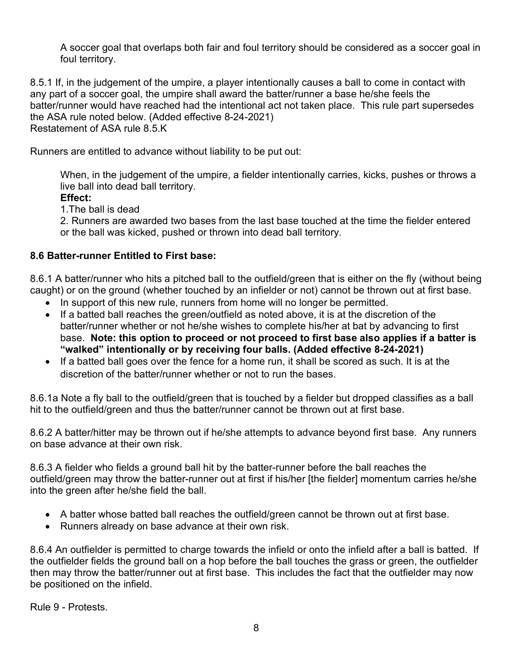A soccer goal that overlaps both fair and foul territory should be considered as a soccer goal in foul territory.

8.5.1 If, in the judgement of the umpire, a player intentionally causes a ball to come in contact with any part of a soccer goal, the umpire shall award the batter/runner a base he/she feels the batter/runner would have reached had the intentional act not taken place. This rule part supersedes the ASA rule noted below. (Added effective 8-24-2021) Restatement of ASA rule 8.5.K

Runners are entitled to advance without liability to be put out:

When, in the judgement of the umpire, a fielder intentionally carries, kicks, pushes or throws a live ball into dead ball territory.

## Effect:

1.The ball is dead

2. Runners are awarded two bases from the last base touched at the time the fielder entered or the ball was kicked, pushed or thrown into dead ball territory.

## 8.6 Batter-runner Entitled to First base:

8.6.1 A batter/runner who hits a pitched ball to the outfield/green that is either on the fly (without being caught) or on the ground (whether touched by an infielder or not) cannot be thrown out at first base.

- In support of this new rule, runners from home will no longer be permitted.
- If a batted ball reaches the green/outfield as noted above, it is at the discretion of the batter/runner whether or not he/she wishes to complete his/her at bat by advancing to first base. Note: this option to proceed or not proceed to first base also applies if a batter is "walked" intentionally or by receiving four balls. (Added effective 8-24-2021)
- If a batted ball goes over the fence for a home run, it shall be scored as such. It is at the discretion of the batter/runner whether or not to run the bases.

8.6.1a Note a fly ball to the outfield/green that is touched by a fielder but dropped classifies as a ball hit to the outfield/green and thus the batter/runner cannot be thrown out at first base.

8.6.2 A batter/hitter may be thrown out if he/she attempts to advance beyond first base. Any runners on base advance at their own risk.

8.6.3 A fielder who fields a ground ball hit by the batter-runner before the ball reaches the outfield/green may throw the batter-runner out at first if his/her [the fielder] momentum carries he/she into the green after he/she field the ball.

- A batter whose batted ball reaches the outfield/green cannot be thrown out at first base.
- Runners already on base advance at their own risk.

8.6.4 An outfielder is permitted to charge towards the infield or onto the infield after a ball is batted. If the outfielder fields the ground ball on a hop before the ball touches the grass or green, the outfielder then may throw the batter/runner out at first base. This includes the fact that the outfielder may now be positioned on the infield.

Rule 9 - Protests.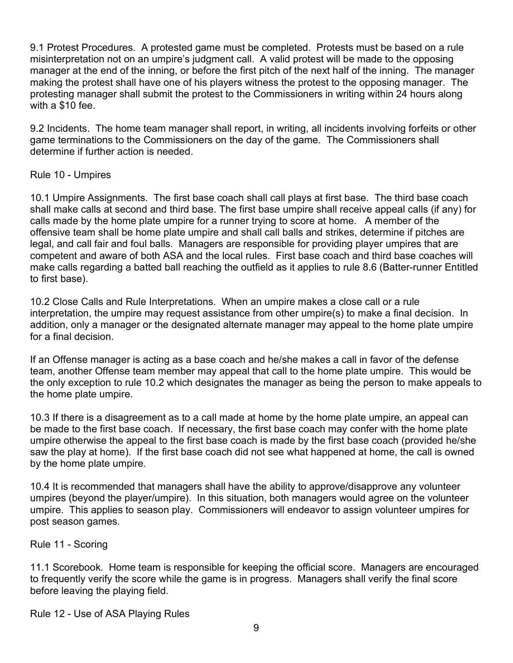9.1 Protest Procedures. A protested game must be completed. Protests must be based on a rule misinterpretation not on an umpire's judgment call. A valid protest will be made to the opposing manager at the end of the inning, or before the first pitch of the next half of the inning. The manager making the protest shall have one of his players witness the protest to the opposing manager. The protesting manager shall submit the protest to the Commissioners in writing within 24 hours along with a \$10 fee.

9.2 Incidents. The home team manager shall report, in writing, all incidents involving forfeits or other game terminations to the Commissioners on the day of the game. The Commissioners shall determine if further action is needed.

## Rule 10 - Umpires

10.1 Umpire Assignments. The first base coach shall call plays at first base. The third base coach shall make calls at second and third base. The first base umpire shall receive appeal calls (if any) for calls made by the home plate umpire for a runner trying to score at home. A member of the offensive team shall be home plate umpire and shall call balls and strikes, determine if pitches are legal, and call fair and foul balls. Managers are responsible for providing player umpires that are competent and aware of both ASA and the local rules. First base coach and third base coaches will make calls regarding a batted ball reaching the outfield as it applies to rule 8.6 (Batter-runner Entitled to first base).

10.2 Close Calls and Rule Interpretations. When an umpire makes a close call or a rule interpretation, the umpire may request assistance from other umpire(s) to make a final decision. In addition, only a manager or the designated alternate manager may appeal to the home plate umpire for a final decision.

If an Offense manager is acting as a base coach and he/she makes a call in favor of the defense team, another Offense team member may appeal that call to the home plate umpire. This would be the only exception to rule 10.2 which designates the manager as being the person to make appeals to the home plate umpire.

10.3 If there is a disagreement as to a call made at home by the home plate umpire, an appeal can be made to the first base coach. If necessary, the first base coach may confer with the home plate umpire otherwise the appeal to the first base coach is made by the first base coach (provided he/she saw the play at home). If the first base coach did not see what happened at home, the call is owned by the home plate umpire.

10.4 It is recommended that managers shall have the ability to approve/disapprove any volunteer umpires (beyond the player/umpire). In this situation, both managers would agree on the volunteer umpire. This applies to season play. Commissioners will endeavor to assign volunteer umpires for post season games.

### Rule 11 - Scoring

11.1 Scorebook. Home team is responsible for keeping the official score. Managers are encouraged to frequently verify the score while the game is in progress. Managers shall verify the final score before leaving the playing field.

Rule 12 - Use of ASA Playing Rules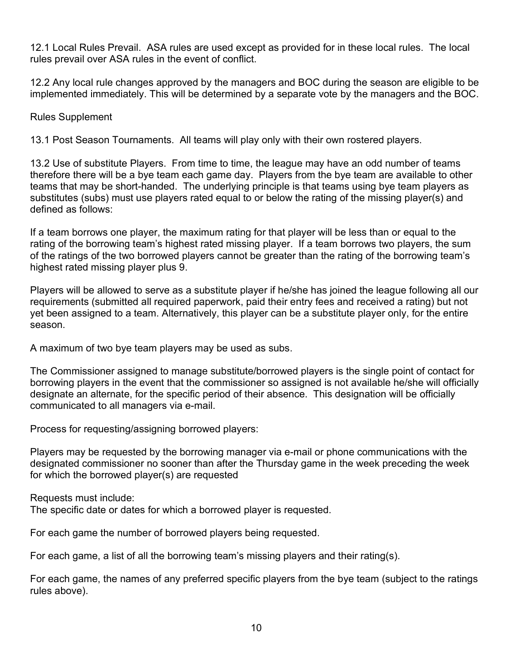12.1 Local Rules Prevail. ASA rules are used except as provided for in these local rules. The local rules prevail over ASA rules in the event of conflict.

12.2 Any local rule changes approved by the managers and BOC during the season are eligible to be implemented immediately. This will be determined by a separate vote by the managers and the BOC.

Rules Supplement

13.1 Post Season Tournaments. All teams will play only with their own rostered players.

13.2 Use of substitute Players. From time to time, the league may have an odd number of teams therefore there will be a bye team each game day. Players from the bye team are available to other teams that may be short-handed. The underlying principle is that teams using bye team players as substitutes (subs) must use players rated equal to or below the rating of the missing player(s) and defined as follows:

If a team borrows one player, the maximum rating for that player will be less than or equal to the rating of the borrowing team's highest rated missing player. If a team borrows two players, the sum of the ratings of the two borrowed players cannot be greater than the rating of the borrowing team's highest rated missing player plus 9.

Players will be allowed to serve as a substitute player if he/she has joined the league following all our requirements (submitted all required paperwork, paid their entry fees and received a rating) but not yet been assigned to a team. Alternatively, this player can be a substitute player only, for the entire season.

A maximum of two bye team players may be used as subs.

The Commissioner assigned to manage substitute/borrowed players is the single point of contact for borrowing players in the event that the commissioner so assigned is not available he/she will officially designate an alternate, for the specific period of their absence. This designation will be officially communicated to all managers via e-mail.

Process for requesting/assigning borrowed players:

Players may be requested by the borrowing manager via e-mail or phone communications with the designated commissioner no sooner than after the Thursday game in the week preceding the week for which the borrowed player(s) are requested

Requests must include:

The specific date or dates for which a borrowed player is requested.

For each game the number of borrowed players being requested.

For each game, a list of all the borrowing team's missing players and their rating(s).

For each game, the names of any preferred specific players from the bye team (subject to the ratings rules above).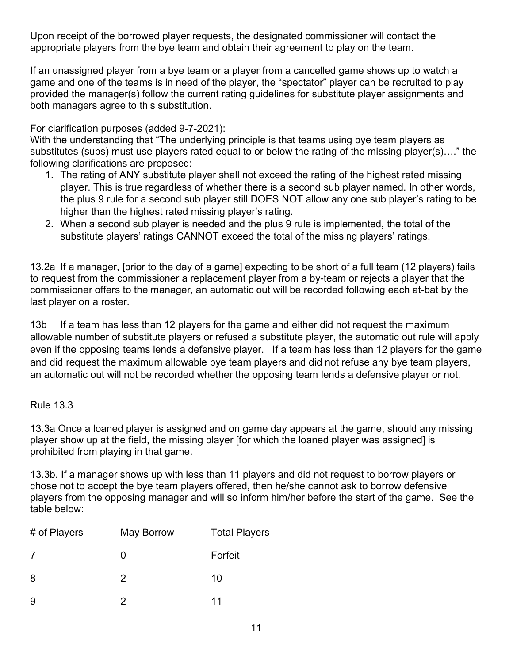Upon receipt of the borrowed player requests, the designated commissioner will contact the appropriate players from the bye team and obtain their agreement to play on the team.

If an unassigned player from a bye team or a player from a cancelled game shows up to watch a game and one of the teams is in need of the player, the "spectator" player can be recruited to play provided the manager(s) follow the current rating guidelines for substitute player assignments and both managers agree to this substitution.

## For clarification purposes (added 9-7-2021):

With the understanding that "The underlying principle is that teams using bye team players as substitutes (subs) must use players rated equal to or below the rating of the missing player(s)…." the following clarifications are proposed:

- 1. The rating of ANY substitute player shall not exceed the rating of the highest rated missing player. This is true regardless of whether there is a second sub player named. In other words, the plus 9 rule for a second sub player still DOES NOT allow any one sub player's rating to be higher than the highest rated missing player's rating.
- 2. When a second sub player is needed and the plus 9 rule is implemented, the total of the substitute players' ratings CANNOT exceed the total of the missing players' ratings.

13.2a If a manager, [prior to the day of a game] expecting to be short of a full team (12 players) fails to request from the commissioner a replacement player from a by-team or rejects a player that the commissioner offers to the manager, an automatic out will be recorded following each at-bat by the last player on a roster.

13b If a team has less than 12 players for the game and either did not request the maximum allowable number of substitute players or refused a substitute player, the automatic out rule will apply even if the opposing teams lends a defensive player. If a team has less than 12 players for the game and did request the maximum allowable bye team players and did not refuse any bye team players, an automatic out will not be recorded whether the opposing team lends a defensive player or not.

### Rule 13.3

13.3a Once a loaned player is assigned and on game day appears at the game, should any missing player show up at the field, the missing player [for which the loaned player was assigned] is prohibited from playing in that game.

13.3b. If a manager shows up with less than 11 players and did not request to borrow players or chose not to accept the bye team players offered, then he/she cannot ask to borrow defensive players from the opposing manager and will so inform him/her before the start of the game. See the table below:

| # of Players | May Borrow | <b>Total Players</b> |
|--------------|------------|----------------------|
| -7           |            | Forfeit              |
| 8            | 2          | 10                   |
| -9           |            | 11                   |